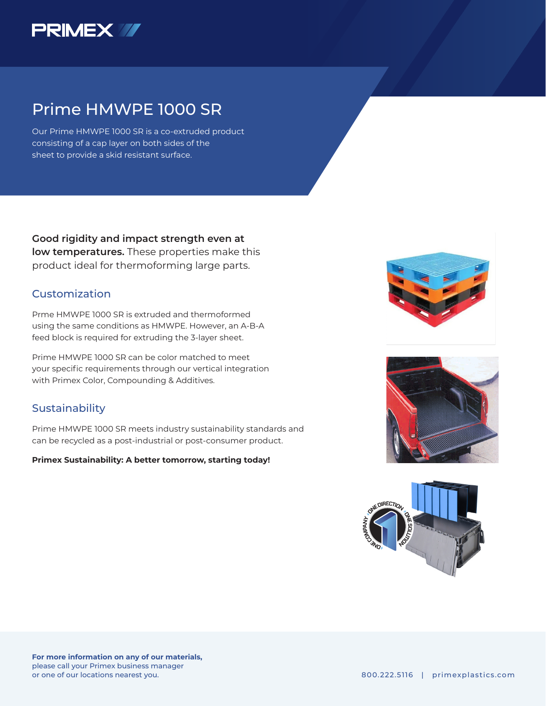

# Prime HMWPE 1000 SR

Our Prime HMWPE 1000 SR is a co-extruded product consisting of a cap layer on both sides of the sheet to provide a skid resistant surface.

**Good rigidity and impact strength even at low temperatures.** These properties make this product ideal for thermoforming large parts.

### Customization

Prme HMWPE 1000 SR is extruded and thermoformed using the same conditions as HMWPE. However, an A-B-A feed block is required for extruding the 3-layer sheet.

Prime HMWPE 1000 SR can be color matched to meet your specific requirements through our vertical integration with Primex Color, Compounding & Additives.

#### **Sustainability**

Prime HMWPE 1000 SR meets industry sustainability standards and can be recycled as a post-industrial or post-consumer product.

**Primex Sustainability: A better tomorrow, starting today!**